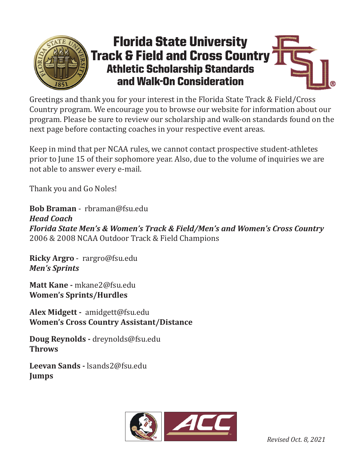

## Florida State University Track & Field and Cross Country Athletic Scholarship Standards and Walk-On Consideration

Greetings and thank you for your interest in the Florida State Track & Field/Cross Country program. We encourage you to browse our website for information about our program. Please be sure to review our scholarship and walk-on standards found on the next page before contacting coaches in your respective event areas.

Keep in mind that per NCAA rules, we cannot contact prospective student-athletes prior to June 15 of their sophomore year. Also, due to the volume of inquiries we are not able to answer every e-mail.

Thank you and Go Noles!

**Bob Braman** - rbraman@fsu.edu *Head Coach Florida State Men's & Women's Track & Field/Men's and Women's Cross Country*  2006 & 2008 NCAA Outdoor Track & Field Champions

**Ricky Argro** - rargro@fsu.edu *Men's Sprints* 

**Matt Kane -** mkane2@fsu.edu **Women's Sprints/Hurdles**

**Alex Midgett -** amidgett@fsu.edu **Women's Cross Country Assistant/Distance**

**Doug Reynolds -** dreynolds@fsu.edu **Throws**

**Leevan Sands -** lsands2@fsu.edu **Jumps**